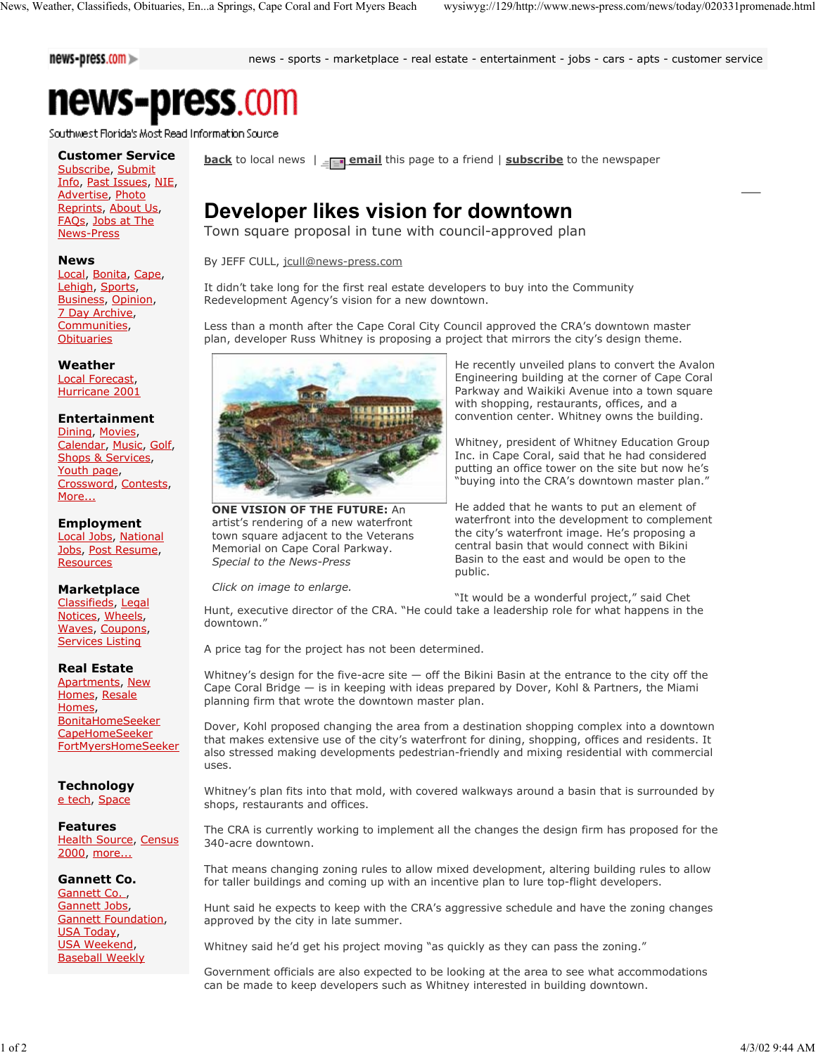news-press.com >>

news - sports - marketplace - real estate - entertainment - jobs - cars - apts - customer service

# news-press.com

Southwest Florida's Most Read Information Source

## **Customer Service**

Subscribe, Submit Info, Past Issues, NIE, Advertise, Photo Reprints, About Us, FAQs, Jobs at The News-Press

#### **News**

Local, Bonita, Cape, Lehigh, Sports, Business, Opinion, 7 Day Archive, Communities, **Obituaries** 

**Weather** Local Forecast, Hurricane 2001

#### **Entertainment**

Dining, Movies, Calendar, Music, Golf, Shops & Services, Youth page, Crossword, Contests, More...

#### **Employment**

Local Jobs, National Jobs, Post Resume, **Resources** 

#### **Marketplace**

Classifieds, Legal Notices, Wheels, Waves, Coupons, Services Listing

#### **Real Estate**

Apartments, New Homes, Resale Homes, BonitaHomeSeeker CapeHomeSeeker FortMyersHomeSeeker

### **Technology**

e tech, Space

#### **Features**

Health Source, Census 2000, more...

#### **Gannett Co.**

Gannett Co., Gannett Jobs, Gannett Foundation, USA Today, USA Weekend, Baseball Weekly

**back** to local news  $\parallel \text{F}$  email this page to a friend  $\parallel$  **subscribe** to the newspaper

# **Developer likes vision for downtown**

Town square proposal in tune with council-approved plan

By JEFF CULL, jcull@news-press.com

It didn't take long for the first real estate developers to buy into the Community Redevelopment Agency's vision for a new downtown.

Less than a month after the Cape Coral City Council approved the CRA's downtown master plan, developer Russ Whitney is proposing a project that mirrors the city's design theme.



**ONE VISION OF THE FUTURE:** An artist's rendering of a new waterfront town square adjacent to the Veterans Memorial on Cape Coral Parkway. *Special to the News-Press*

*Click on image to enlarge.*

He recently unveiled plans to convert the Avalon Engineering building at the corner of Cape Coral Parkway and Waikiki Avenue into a town square with shopping, restaurants, offices, and a convention center. Whitney owns the building.

Whitney, president of Whitney Education Group Inc. in Cape Coral, said that he had considered putting an office tower on the site but now he's "buying into the CRA's downtown master plan."

He added that he wants to put an element of waterfront into the development to complement the city's waterfront image. He's proposing a central basin that would connect with Bikini Basin to the east and would be open to the public.

"It would be a wonderful project," said Chet

Hunt, executive director of the CRA. "He could take a leadership role for what happens in the downtown."

A price tag for the project has not been determined.

Whitney's design for the five-acre site  $-$  off the Bikini Basin at the entrance to the city off the Cape Coral Bridge — is in keeping with ideas prepared by Dover, Kohl & Partners, the Miami planning firm that wrote the downtown master plan.

Dover, Kohl proposed changing the area from a destination shopping complex into a downtown that makes extensive use of the city's waterfront for dining, shopping, offices and residents. It also stressed making developments pedestrian-friendly and mixing residential with commercial uses.

Whitney's plan fits into that mold, with covered walkways around a basin that is surrounded by shops, restaurants and offices.

The CRA is currently working to implement all the changes the design firm has proposed for the 340-acre downtown.

That means changing zoning rules to allow mixed development, altering building rules to allow for taller buildings and coming up with an incentive plan to lure top-flight developers.

Hunt said he expects to keep with the CRA's aggressive schedule and have the zoning changes approved by the city in late summer.

Whitney said he'd get his project moving "as quickly as they can pass the zoning."

Government officials are also expected to be looking at the area to see what accommodations can be made to keep developers such as Whitney interested in building downtown.